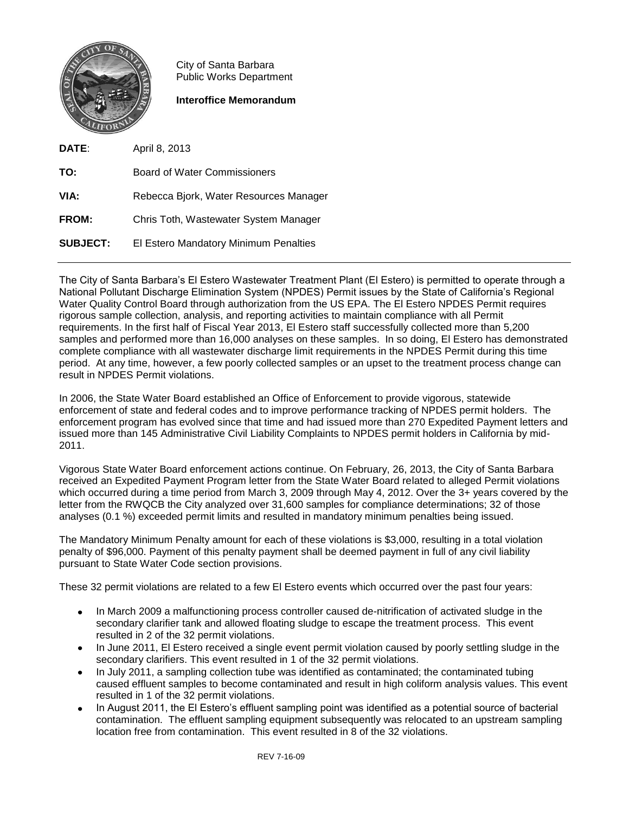

City of Santa Barbara Public Works Department

**Interoffice Memorandum**

**DATE**: April 8, 2013 **TO:** Board of Water Commissioners **VIA:** Rebecca Bjork, Water Resources Manager **FROM:** Chris Toth, Wastewater System Manager **SUBJECT:** El Estero Mandatory Minimum Penalties

The City of Santa Barbara's El Estero Wastewater Treatment Plant (El Estero) is permitted to operate through a National Pollutant Discharge Elimination System (NPDES) Permit issues by the State of California's Regional Water Quality Control Board through authorization from the US EPA. The El Estero NPDES Permit requires rigorous sample collection, analysis, and reporting activities to maintain compliance with all Permit requirements. In the first half of Fiscal Year 2013, El Estero staff successfully collected more than 5,200 samples and performed more than 16,000 analyses on these samples. In so doing, El Estero has demonstrated complete compliance with all wastewater discharge limit requirements in the NPDES Permit during this time period. At any time, however, a few poorly collected samples or an upset to the treatment process change can result in NPDES Permit violations.

In 2006, the State Water Board established an Office of Enforcement to provide vigorous, statewide enforcement of state and federal codes and to improve performance tracking of NPDES permit holders. The enforcement program has evolved since that time and had issued more than 270 Expedited Payment letters and issued more than 145 Administrative Civil Liability Complaints to NPDES permit holders in California by mid-2011.

Vigorous State Water Board enforcement actions continue. On February, 26, 2013, the City of Santa Barbara received an Expedited Payment Program letter from the State Water Board related to alleged Permit violations which occurred during a time period from March 3, 2009 through May 4, 2012. Over the 3+ years covered by the letter from the RWQCB the City analyzed over 31,600 samples for compliance determinations; 32 of those analyses (0.1 %) exceeded permit limits and resulted in mandatory minimum penalties being issued.

The Mandatory Minimum Penalty amount for each of these violations is \$3,000, resulting in a total violation penalty of \$96,000. Payment of this penalty payment shall be deemed payment in full of any civil liability pursuant to State Water Code section provisions.

These 32 permit violations are related to a few El Estero events which occurred over the past four years:

- $\bullet$ In March 2009 a malfunctioning process controller caused de-nitrification of activated sludge in the secondary clarifier tank and allowed floating sludge to escape the treatment process. This event resulted in 2 of the 32 permit violations.
- In June 2011, El Estero received a single event permit violation caused by poorly settling sludge in the secondary clarifiers. This event resulted in 1 of the 32 permit violations.
- In July 2011, a sampling collection tube was identified as contaminated; the contaminated tubing caused effluent samples to become contaminated and result in high coliform analysis values. This event resulted in 1 of the 32 permit violations.
- In August 2011, the El Estero's effluent sampling point was identified as a potential source of bacterial  $\bullet$ contamination. The effluent sampling equipment subsequently was relocated to an upstream sampling location free from contamination. This event resulted in 8 of the 32 violations.